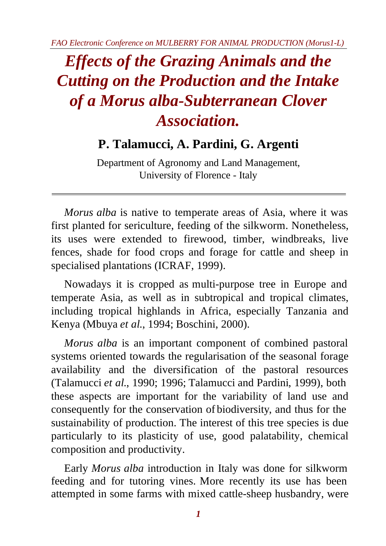*FAO Electronic Conference on MULBERRY FOR ANIMAL PRODUCTION (Morus1-L)*

# *Effects of the Grazing Animals and the Cutting on the Production and the Intake of a Morus alba-Subterranean Clover Association.*

# **P. Talamucci, A. Pardini, G. Argenti**

Department of Agronomy and Land Management, University of Florence - Italy

*Morus alba* is native to temperate areas of Asia, where it was first planted for sericulture, feeding of the silkworm. Nonetheless, its uses were extended to firewood, timber, windbreaks, live fences, shade for food crops and forage for cattle and sheep in specialised plantations (ICRAF, 1999).

Nowadays it is cropped as multi-purpose tree in Europe and temperate Asia, as well as in subtropical and tropical climates, including tropical highlands in Africa, especially Tanzania and Kenya (Mbuya *et al*., 1994; Boschini, 2000).

*Morus alba* is an important component of combined pastoral systems oriented towards the regularisation of the seasonal forage availability and the diversification of the pastoral resources (Talamucci *et al*., 1990; 1996; Talamucci and Pardini, 1999), both these aspects are important for the variability of land use and consequently for the conservation of biodiversity, and thus for the sustainability of production. The interest of this tree species is due particularly to its plasticity of use, good palatability, chemical composition and productivity.

Early *Morus alba* introduction in Italy was done for silkworm feeding and for tutoring vines. More recently its use has been attempted in some farms with mixed cattle-sheep husbandry, were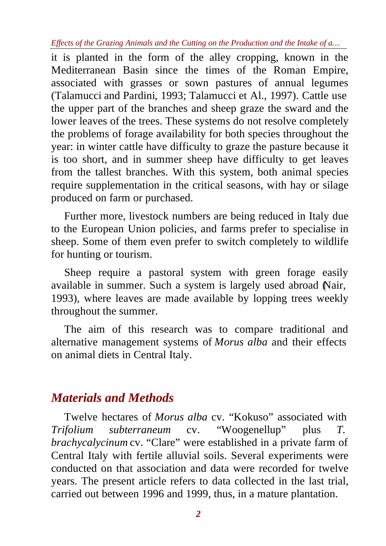it is planted in the form of the alley cropping, known in the Mediterranean Basin since the times of the Roman Empire, associated with grasses or sown pastures of annual legumes (Talamucci and Pardini, 1993; Talamucci et Al., 1997). Cattle use the upper part of the branches and sheep graze the sward and the lower leaves of the trees. These systems do not resolve completely the problems of forage availability for both species throughout the year: in winter cattle have difficulty to graze the pasture because it is too short, and in summer sheep have difficulty to get leaves from the tallest branches. With this system, both animal species require supplementation in the critical seasons, with hay or silage produced on farm or purchased.

Further more, livestock numbers are being reduced in Italy due to the European Union policies, and farms prefer to specialise in sheep. Some of them even prefer to switch completely to wildlife for hunting or tourism.

Sheep require a pastoral system with green forage easily available in summer. Such a system is largely used abroad (Nair, 1993), where leaves are made available by lopping trees weekly throughout the summer.

The aim of this research was to compare traditional and alternative management systems of *Morus alba* and their effects on animal diets in Central Italy.

## *Materials and Methods*

Twelve hectares of *Morus alba* cv. "Kokuso" associated with *Trifolium subterraneum* cv. "Woogenellup" plus *T. brachycalycinum* cv. "Clare" were established in a private farm of Central Italy with fertile alluvial soils. Several experiments were conducted on that association and data were recorded for twelve years. The present article refers to data collected in the last trial, carried out between 1996 and 1999, thus, in a mature plantation.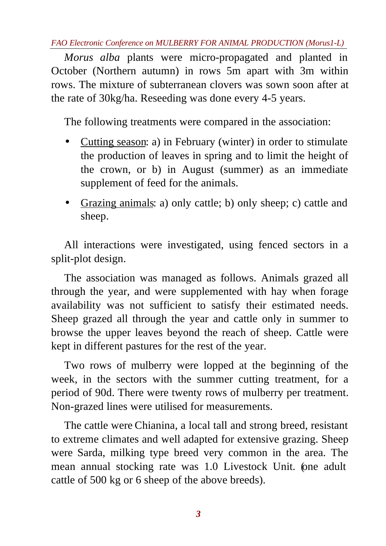*FAO Electronic Conference on MULBERRY FOR ANIMAL PRODUCTION (Morus1-L)*

*Morus alba* plants were micro-propagated and planted in October (Northern autumn) in rows 5m apart with 3m within rows. The mixture of subterranean clovers was sown soon after at the rate of 30kg/ha. Reseeding was done every 4-5 years.

The following treatments were compared in the association:

- Cutting season: a) in February (winter) in order to stimulate the production of leaves in spring and to limit the height of the crown, or b) in August (summer) as an immediate supplement of feed for the animals.
- Grazing animals: a) only cattle; b) only sheep; c) cattle and sheep.

All interactions were investigated, using fenced sectors in a split-plot design.

The association was managed as follows. Animals grazed all through the year, and were supplemented with hay when forage availability was not sufficient to satisfy their estimated needs. Sheep grazed all through the year and cattle only in summer to browse the upper leaves beyond the reach of sheep. Cattle were kept in different pastures for the rest of the year.

Two rows of mulberry were lopped at the beginning of the week, in the sectors with the summer cutting treatment, for a period of 90d. There were twenty rows of mulberry per treatment. Non-grazed lines were utilised for measurements.

The cattle were Chianina, a local tall and strong breed, resistant to extreme climates and well adapted for extensive grazing. Sheep were Sarda, milking type breed very common in the area. The mean annual stocking rate was 1.0 Livestock Unit. (one adult cattle of 500 kg or 6 sheep of the above breeds).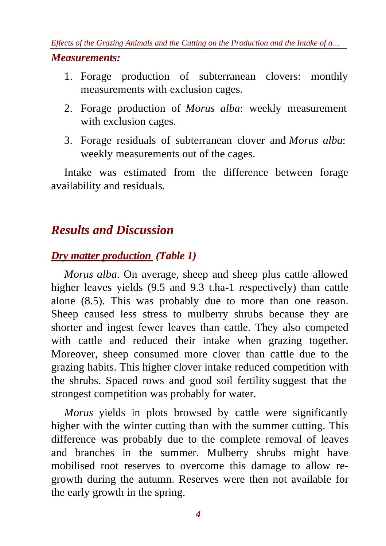- 1. Forage production of subterranean clovers: monthly measurements with exclusion cages.
- 2. Forage production of *Morus alba*: weekly measurement with exclusion cages.
- 3. Forage residuals of subterranean clover and *Morus alba*: weekly measurements out of the cages.

Intake was estimated from the difference between forage availability and residuals.

## *Results and Discussion*

#### *Dry matter production (Table 1)*

*Morus alba.* On average, sheep and sheep plus cattle allowed higher leaves yields (9.5 and 9.3 t.ha-1 respectively) than cattle alone (8.5). This was probably due to more than one reason. Sheep caused less stress to mulberry shrubs because they are shorter and ingest fewer leaves than cattle. They also competed with cattle and reduced their intake when grazing together. Moreover, sheep consumed more clover than cattle due to the grazing habits. This higher clover intake reduced competition with the shrubs. Spaced rows and good soil fertility suggest that the strongest competition was probably for water.

*Morus* yields in plots browsed by cattle were significantly higher with the winter cutting than with the summer cutting. This difference was probably due to the complete removal of leaves and branches in the summer. Mulberry shrubs might have mobilised root reserves to overcome this damage to allow regrowth during the autumn. Reserves were then not available for the early growth in the spring.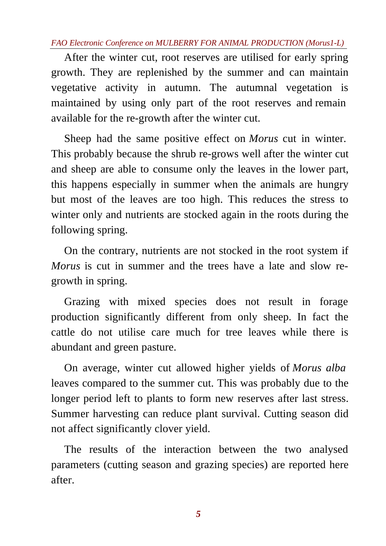*FAO Electronic Conference on MULBERRY FOR ANIMAL PRODUCTION (Morus1-L)*

After the winter cut, root reserves are utilised for early spring growth. They are replenished by the summer and can maintain vegetative activity in autumn. The autumnal vegetation is maintained by using only part of the root reserves and remain available for the re-growth after the winter cut.

Sheep had the same positive effect on *Morus* cut in winter. This probably because the shrub re-grows well after the winter cut and sheep are able to consume only the leaves in the lower part, this happens especially in summer when the animals are hungry but most of the leaves are too high. This reduces the stress to winter only and nutrients are stocked again in the roots during the following spring.

On the contrary, nutrients are not stocked in the root system if *Morus* is cut in summer and the trees have a late and slow regrowth in spring.

Grazing with mixed species does not result in forage production significantly different from only sheep. In fact the cattle do not utilise care much for tree leaves while there is abundant and green pasture.

On average, winter cut allowed higher yields of *Morus alba* leaves compared to the summer cut. This was probably due to the longer period left to plants to form new reserves after last stress. Summer harvesting can reduce plant survival. Cutting season did not affect significantly clover yield.

The results of the interaction between the two analysed parameters (cutting season and grazing species) are reported here after.

*5*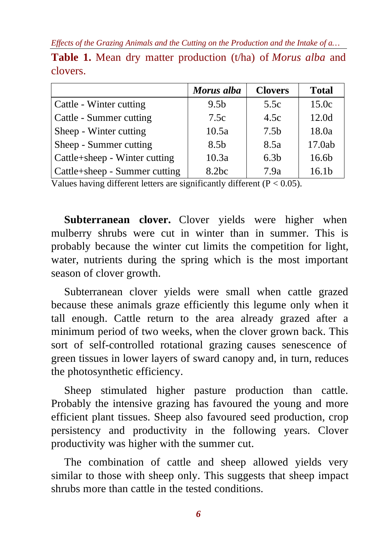|                               | Morus alba        | <b>Clovers</b>   | <b>Total</b>      |
|-------------------------------|-------------------|------------------|-------------------|
| Cattle - Winter cutting       | 9.5 <sub>b</sub>  | 5.5c             | 15.0c             |
| Cattle - Summer cutting       | 7.5c              | 4.5c             | 12.0d             |
| Sheep - Winter cutting        | 10.5a             | 7.5 <sub>b</sub> | 18.0a             |
| Sheep - Summer cutting        | 8.5 <sub>b</sub>  | 8.5a             | 17.0ab            |
| Cattle+sheep - Winter cutting | 10.3a             | 6.3 <sub>b</sub> | 16.6b             |
| Cattle+sheep - Summer cutting | 8.2 <sub>bc</sub> | 7.9a             | 16.1 <sub>b</sub> |

**Table 1.** Mean dry matter production (t/ha) of *Morus alba* and clovers.

Values having different letters are significantly different  $(P < 0.05)$ .

Subterranean clover. Clover yields were higher when mulberry shrubs were cut in winter than in summer. This is probably because the winter cut limits the competition for light, water, nutrients during the spring which is the most important season of clover growth.

Subterranean clover yields were small when cattle grazed because these animals graze efficiently this legume only when it tall enough. Cattle return to the area already grazed after a minimum period of two weeks, when the clover grown back. This sort of self-controlled rotational grazing causes senescence of green tissues in lower layers of sward canopy and, in turn, reduces the photosynthetic efficiency.

Sheep stimulated higher pasture production than cattle. Probably the intensive grazing has favoured the young and more efficient plant tissues. Sheep also favoured seed production, crop persistency and productivity in the following years. Clover productivity was higher with the summer cut.

The combination of cattle and sheep allowed yields very similar to those with sheep only. This suggests that sheep impact shrubs more than cattle in the tested conditions.

*6*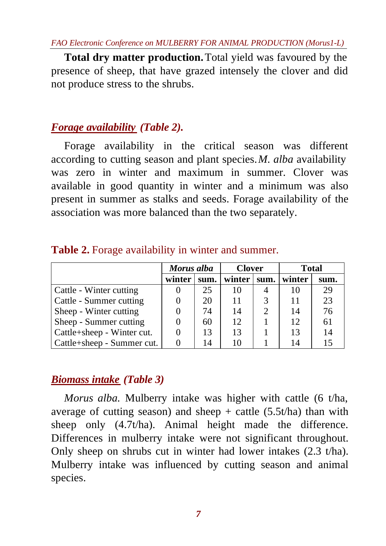**Total dry matter production.** Total yield was favoured by the presence of sheep, that have grazed intensely the clover and did not produce stress to the shrubs.

#### *Forage availability (Table 2).*

Forage availability in the critical season was different according to cutting season and plant species. *M. alba* availability was zero in winter and maximum in summer. Clover was available in good quantity in winter and a minimum was also present in summer as stalks and seeds. Forage availability of the association was more balanced than the two separately.

|                            | Morus alba |      | <b>Clover</b> |      | <b>Total</b> |      |
|----------------------------|------------|------|---------------|------|--------------|------|
|                            | winter     | sum. | winter        | sum. | winter       | sum. |
| Cattle - Winter cutting    |            | 25   | 10            | 4    | 10           | 29   |
| Cattle - Summer cutting    | $\theta$   | 20   | 11            | 3    | 11           | 23   |
| Sheep - Winter cutting     |            | 74   | 14            | っ    | 14           | 76   |
| Sheep - Summer cutting     |            | 60   | 12            |      | 12           | 61   |
| Cattle+sheep - Winter cut. |            | 13   | 13            |      | 13           | 14   |
| Cattle+sheep - Summer cut. |            | 14   | 10            |      | 14           | 15   |

**Table 2.** Forage availability in winter and summer.

#### *Biomass intake (Table 3)*

*Morus alba*. Mulberry intake was higher with cattle (6 t/ha, average of cutting season) and sheep  $+$  cattle (5.5t/ha) than with sheep only  $(4.7t/ha)$ . Animal height made the difference. Differences in mulberry intake were not significant throughout. Only sheep on shrubs cut in winter had lower intakes (2.3 t/ha). Mulberry intake was influenced by cutting season and animal species.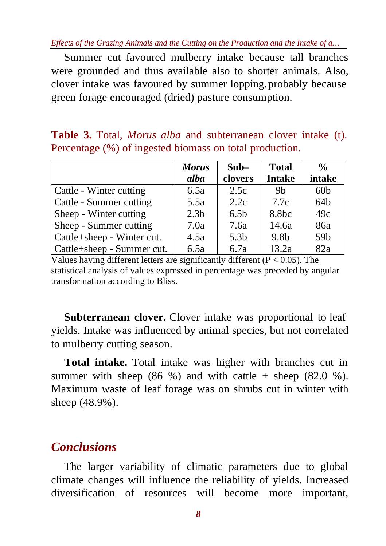Summer cut favoured mulberry intake because tall branches were grounded and thus available also to shorter animals. Also, clover intake was favoured by summer lopping. probably because green forage encouraged (dried) pasture consumption.

**Table 3.** Total, *Morus alba* and subterranean clover intake (t). Percentage (%) of ingested biomass on total production.

|                            | <b>Morus</b>     | $Sub-$           | <b>Total</b>      | $\frac{0}{0}$   |
|----------------------------|------------------|------------------|-------------------|-----------------|
|                            | alba             | clovers          | <b>Intake</b>     | intake          |
| Cattle - Winter cutting    | 6.5a             | 2.5c             | 9 <sub>b</sub>    | 60 <sub>b</sub> |
| Cattle - Summer cutting    | 5.5a             | 2.2c             | 7.7c              | 64 <sub>b</sub> |
| Sheep - Winter cutting     | 2.3 <sub>b</sub> | 6.5 <sub>b</sub> | 8.8 <sub>bc</sub> | 49c             |
| Sheep - Summer cutting     | 7.0a             | 7.6a             | 14.6a             | 86a             |
| Cattle+sheep - Winter cut. | 4.5a             | 5.3 <sub>b</sub> | 9.8 <sub>b</sub>  | 59b             |
| Cattle+sheep - Summer cut. | 6.5a             | 6.7a             | 13.2a             | 82a             |

Values having different letters are significantly different ( $P < 0.05$ ). The statistical analysis of values expressed in percentage was preceded by angular transformation according to Bliss.

**Subterranean clover.** Clover intake was proportional to leaf yields. Intake was influenced by animal species, but not correlated to mulberry cutting season.

**Total intake.** Total intake was higher with branches cut in summer with sheep  $(86 \%)$  and with cattle + sheep  $(82.0 \%)$ . Maximum waste of leaf forage was on shrubs cut in winter with sheep (48.9%).

### *Conclusions*

The larger variability of climatic parameters due to global climate changes will influence the reliability of yields. Increased diversification of resources will become more important,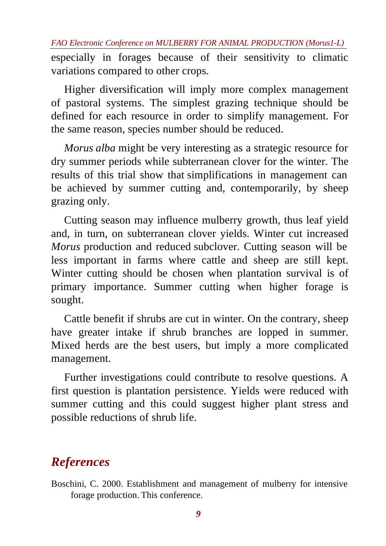especially in forages because of their sensitivity to climatic variations compared to other crops.

Higher diversification will imply more complex management of pastoral systems. The simplest grazing technique should be defined for each resource in order to simplify management. For the same reason, species number should be reduced.

*Morus alba* might be very interesting as a strategic resource for dry summer periods while subterranean clover for the winter. The results of this trial show that simplifications in management can be achieved by summer cutting and, contemporarily, by sheep grazing only.

Cutting season may influence mulberry growth, thus leaf yield and, in turn, on subterranean clover yields. Winter cut increased *Morus* production and reduced subclover. Cutting season will be less important in farms where cattle and sheep are still kept. Winter cutting should be chosen when plantation survival is of primary importance. Summer cutting when higher forage is sought.

Cattle benefit if shrubs are cut in winter. On the contrary, sheep have greater intake if shrub branches are lopped in summer. Mixed herds are the best users, but imply a more complicated management.

Further investigations could contribute to resolve questions. A first question is plantation persistence. Yields were reduced with summer cutting and this could suggest higher plant stress and possible reductions of shrub life.

# *References*

Boschini, C. 2000. Establishment and management of mulberry for intensive forage production. This conference.